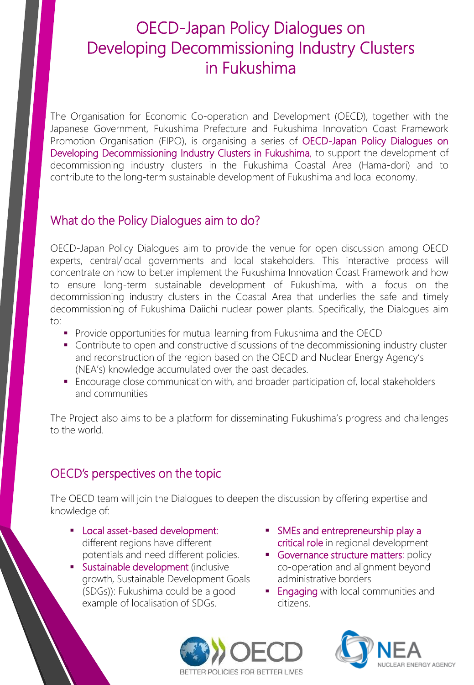# OECD-Japan Policy Dialogues on Developing Decommissioning Industry Clusters in Fukushima

The Organisation for Economic Co-operation and Development (OECD), together with the Japanese Government, Fukushima Prefecture and Fukushima Innovation Coast Framework Promotion Organisation (FIPO), is organising a series of OECD-Japan Policy Dialogues on Developing Decommissioning Industry Clusters in Fukushima, to support the development of decommissioning industry clusters in the Fukushima Coastal Area (Hama-dori) and to contribute to the long-term sustainable development of Fukushima and local economy.

### What do the Policy Dialogues aim to do?

OECD-Japan Policy Dialogues aim to provide the venue for open discussion among OECD experts, central/local governments and local stakeholders. This interactive process will concentrate on how to better implement the Fukushima Innovation Coast Framework and how to ensure long-term sustainable development of Fukushima, with a focus on the decommissioning industry clusters in the Coastal Area that underlies the safe and timely decommissioning of Fukushima Daiichi nuclear power plants. Specifically, the Dialogues aim to:

- **Provide opportunities for mutual learning from Fukushima and the OECD**
- **Contribute to open and constructive discussions of the decommissioning industry cluster** and reconstruction of the region based on the OECD and Nuclear Energy Agency's (NEA's) knowledge accumulated over the past decades.
- Encourage close communication with, and broader participation of, local stakeholders and communities

The Project also aims to be a platform for disseminating Fukushima's progress and challenges to the world.

### OECD's perspectives on the topic

The OECD team will join the Dialogues to deepen the discussion by offering expertise and knowledge of:

- **Local asset-based development:** different regions have different potentials and need different policies.
- **Sustainable development (inclusive** growth, Sustainable Development Goals (SDGs)): Fukushima could be a good example of localisation of SDGs.
- SMEs and entrepreneurship play a critical role in regional development
- Governance structure matters: policy co-operation and alignment beyond administrative borders
- **Engaging with local communities and** citizens.